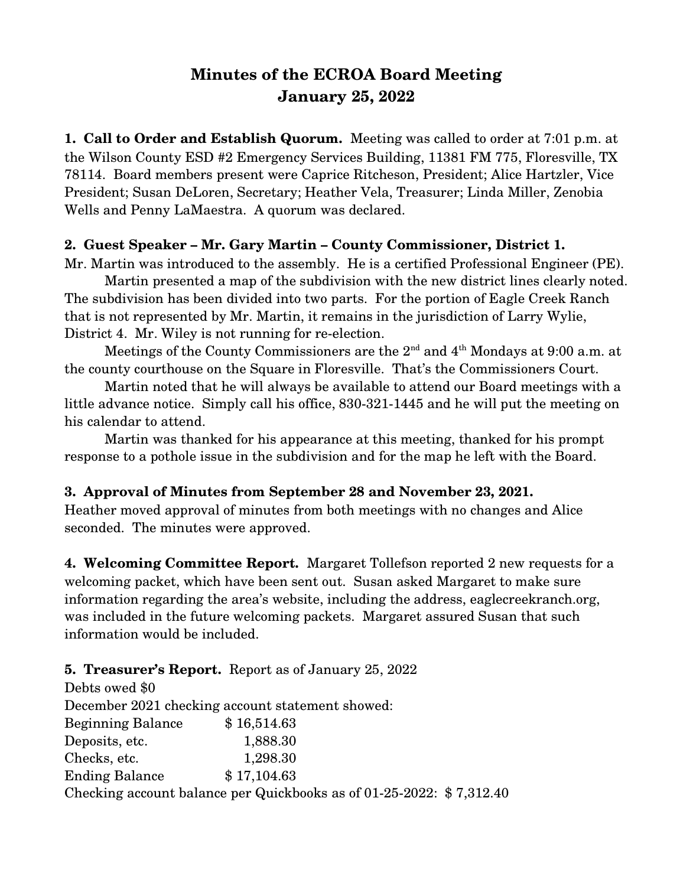# **Minutes of the ECROA Board Meeting January 25, 2022**

**1. Call to Order and Establish Quorum.** Meeting was called to order at 7:01 p.m. at the Wilson County ESD #2 Emergency Services Building, 11381 FM 775, Floresville, TX 78114. Board members present were Caprice Ritcheson, President; Alice Hartzler, Vice President; Susan DeLoren, Secretary; Heather Vela, Treasurer; Linda Miller, Zenobia Wells and Penny LaMaestra. A quorum was declared.

#### **2. Guest Speaker – Mr. Gary Martin – County Commissioner, District 1.**

Mr. Martin was introduced to the assembly. He is a certified Professional Engineer (PE).

Martin presented a map of the subdivision with the new district lines clearly noted. The subdivision has been divided into two parts. For the portion of Eagle Creek Ranch that is not represented by Mr. Martin, it remains in the jurisdiction of Larry Wylie, District 4. Mr. Wiley is not running for re-election.

Meetings of the County Commissioners are the  $2<sup>nd</sup>$  and  $4<sup>th</sup>$  Mondays at 9:00 a.m. at the county courthouse on the Square in Floresville. That's the Commissioners Court.

Martin noted that he will always be available to attend our Board meetings with a little advance notice. Simply call his office, 830-321-1445 and he will put the meeting on his calendar to attend.

Martin was thanked for his appearance at this meeting, thanked for his prompt response to a pothole issue in the subdivision and for the map he left with the Board.

## **3. Approval of Minutes from September 28 and November 23, 2021.**

Heather moved approval of minutes from both meetings with no changes and Alice seconded. The minutes were approved.

**4. Welcoming Committee Report.** Margaret Tollefson reported 2 new requests for a welcoming packet, which have been sent out. Susan asked Margaret to make sure information regarding the area's website, including the address, eaglecreekranch.org, was included in the future welcoming packets. Margaret assured Susan that such information would be included.

## **5. Treasurer's Report.** Report as of January 25, 2022

| Debts owed \$0                                   |                                                                       |  |
|--------------------------------------------------|-----------------------------------------------------------------------|--|
| December 2021 checking account statement showed: |                                                                       |  |
| <b>Beginning Balance</b>                         | \$16,514.63                                                           |  |
| Deposits, etc.                                   | 1,888.30                                                              |  |
| Checks, etc.                                     | 1,298.30                                                              |  |
| <b>Ending Balance</b>                            | \$17,104.63                                                           |  |
|                                                  | Checking account balance per Quickbooks as of 01-25-2022: $$7,312.40$ |  |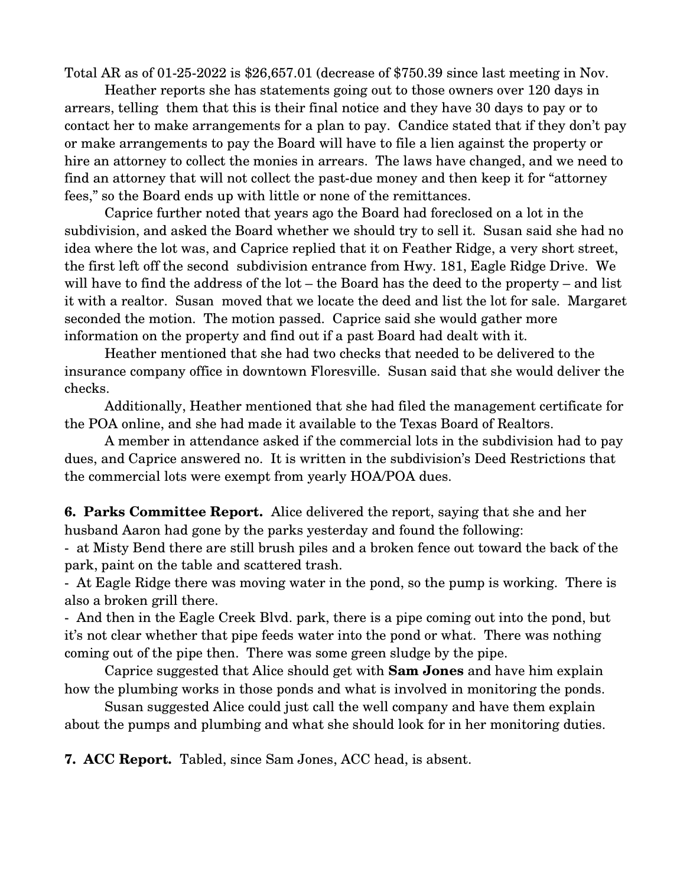Total AR as of  $01-25-2022$  is \$26,657.01 (decrease of \$750.39 since last meeting in Nov.

Heather reports she has statements going out to those owners over 120 days in arrears, telling them that this is their final notice and they have 30 days to pay or to contact her to make arrangements for a plan to pay. Candice stated that if they don't pay or make arrangements to pay the Board will have to file a lien against the property or hire an attorney to collect the monies in arrears. The laws have changed, and we need to find an attorney that will not collect the past-due money and then keep it for "attorney" fees," so the Board ends up with little or none of the remittances.

Caprice further noted that years ago the Board had foreclosed on a lot in the subdivision, and asked the Board whether we should try to sell it. Susan said she had no idea where the lot was, and Caprice replied that it on Feather Ridge, a very short street, the first left off the second subdivision entrance from Hwy. 181, Eagle Ridge Drive. We will have to find the address of the lot – the Board has the deed to the property – and list it with a realtor. Susan moved that we locate the deed and list the lot for sale. Margaret seconded the motion. The motion passed. Caprice said she would gather more information on the property and find out if a past Board had dealt with it.

Heather mentioned that she had two checks that needed to be delivered to the insurance company office in downtown Floresville. Susan said that she would deliver the checks.

Additionally, Heather mentioned that she had filed the management certificate for the POA online, and she had made it available to the Texas Board of Realtors.

A member in attendance asked if the commercial lots in the subdivision had to pay dues, and Caprice answered no. It is written in the subdivision's Deed Restrictions that the commercial lots were exempt from yearly HOA/POA dues.

**6. Parks Committee Report.** Alice delivered the report, saying that she and her husband Aaron had gone by the parks yesterday and found the following:

 at Misty Bend there are still brush piles and a broken fence out toward the back of the park, paint on the table and scattered trash.

 At Eagle Ridge there was moving water in the pond, so the pump is working. There is also a broken grill there.

 And then in the Eagle Creek Blvd. park, there is a pipe coming out into the pond, but it's not clear whether that pipe feeds water into the pond or what. There was nothing coming out of the pipe then. There was some green sludge by the pipe.

Caprice suggested that Alice should get with **Sam Jones** and have him explain how the plumbing works in those ponds and what is involved in monitoring the ponds.

Susan suggested Alice could just call the well company and have them explain about the pumps and plumbing and what she should look for in her monitoring duties.

**7. ACC Report.** Tabled, since Sam Jones, ACC head, is absent.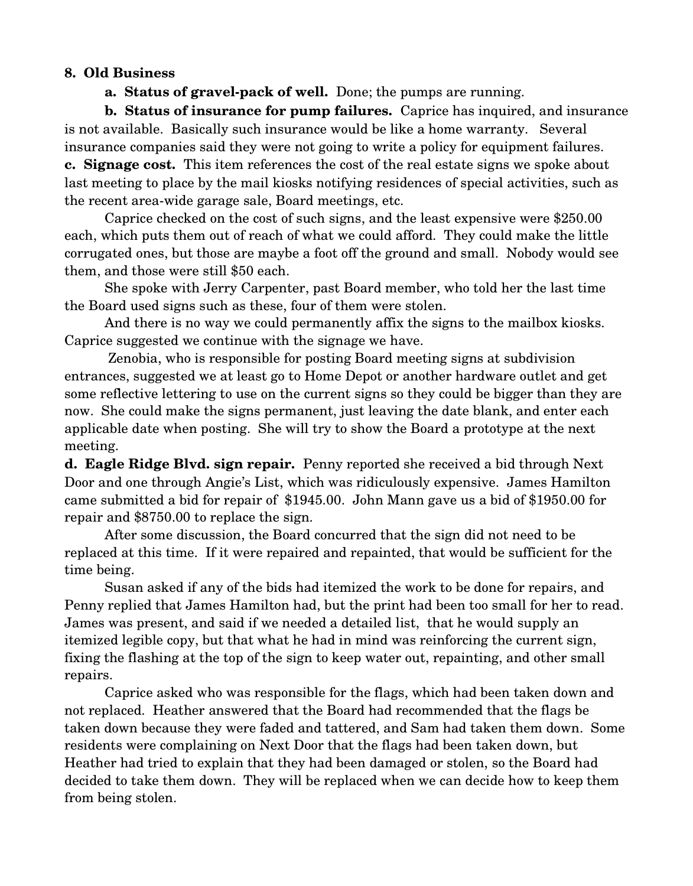#### **8. Old Business**

**a. Status of gravel-pack of well.** Done; the pumps are running.

**b. Status of insurance for pump failures.** Caprice has inquired, and insurance is not available. Basically such insurance would be like a home warranty. Several insurance companies said they were not going to write a policy for equipment failures. **c. Signage cost.** This item references the cost of the real estate signs we spoke about last meeting to place by the mail kiosks notifying residences of special activities, such as the recent area-wide garage sale, Board meetings, etc.

Caprice checked on the cost of such signs, and the least expensive were \$250.00 each, which puts them out of reach of what we could afford. They could make the little corrugated ones, but those are maybe a foot off the ground and small. Nobody would see them, and those were still \$50 each.

She spoke with Jerry Carpenter, past Board member, who told her the last time the Board used signs such as these, four of them were stolen.

And there is no way we could permanently affix the signs to the mailbox kiosks. Caprice suggested we continue with the signage we have.

 Zenobia, who is responsible for posting Board meeting signs at subdivision entrances, suggested we at least go to Home Depot or another hardware outlet and get some reflective lettering to use on the current signs so they could be bigger than they are now. She could make the signs permanent, just leaving the date blank, and enter each applicable date when posting. She will try to show the Board a prototype at the next meeting.

**d. Eagle Ridge Blvd. sign repair.** Penny reported she received a bid through Next Door and one through Angie's List, which was ridiculously expensive. James Hamilton came submitted a bid for repair of \$1945.00. John Mann gave us a bid of \$1950.00 for repair and \$8750.00 to replace the sign.

After some discussion, the Board concurred that the sign did not need to be replaced at this time. If it were repaired and repainted, that would be sufficient for the time being.

Susan asked if any of the bids had itemized the work to be done for repairs, and Penny replied that James Hamilton had, but the print had been too small for her to read. James was present, and said if we needed a detailed list, that he would supply an itemized legible copy, but that what he had in mind was reinforcing the current sign, fixing the flashing at the top of the sign to keep water out, repainting, and other small repairs.

Caprice asked who was responsible for the flags, which had been taken down and not replaced. Heather answered that the Board had recommended that the flags be taken down because they were faded and tattered, and Sam had taken them down. Some residents were complaining on Next Door that the flags had been taken down, but Heather had tried to explain that they had been damaged or stolen, so the Board had decided to take them down. They will be replaced when we can decide how to keep them from being stolen.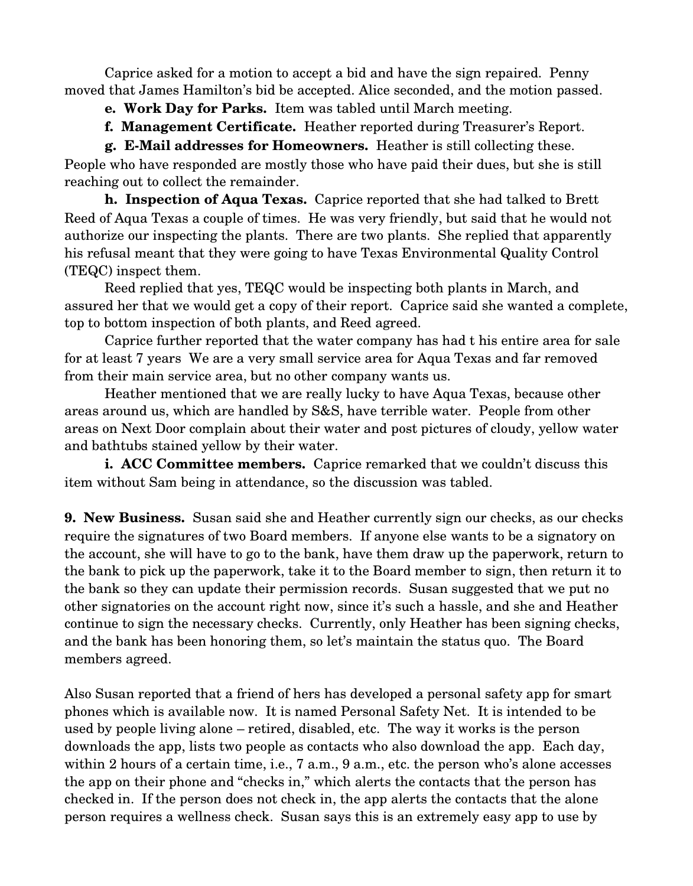Caprice asked for a motion to accept a bid and have the sign repaired. Penny moved that James Hamilton's bid be accepted. Alice seconded, and the motion passed.

- **e. Work Day for Parks.** Item was tabled until March meeting.
- **f. Management Certificate.** Heather reported during Treasurer's Report.

**g. E-Mail addresses for Homeowners.** Heather is still collecting these. People who have responded are mostly those who have paid their dues, but she is still reaching out to collect the remainder.

**h. Inspection of Aqua Texas.** Caprice reported that she had talked to Brett Reed of Aqua Texas a couple of times. He was very friendly, but said that he would not authorize our inspecting the plants. There are two plants. She replied that apparently his refusal meant that they were going to have Texas Environmental Quality Control (TEQC) inspect them.

Reed replied that yes, TEQC would be inspecting both plants in March, and assured her that we would get a copy of their report. Caprice said she wanted a complete, top to bottom inspection of both plants, and Reed agreed.

Caprice further reported that the water company has had t his entire area for sale for at least 7 years We are a very small service area for Aqua Texas and far removed from their main service area, but no other company wants us.

Heather mentioned that we are really lucky to have Aqua Texas, because other areas around us, which are handled by S&S, have terrible water. People from other areas on Next Door complain about their water and post pictures of cloudy, yellow water and bathtubs stained yellow by their water.

**i. ACC Committee members.** Caprice remarked that we couldn't discuss this item without Sam being in attendance, so the discussion was tabled.

**9. New Business.** Susan said she and Heather currently sign our checks, as our checks require the signatures of two Board members. If anyone else wants to be a signatory on the account, she will have to go to the bank, have them draw up the paperwork, return to the bank to pick up the paperwork, take it to the Board member to sign, then return it to the bank so they can update their permission records. Susan suggested that we put no other signatories on the account right now, since it's such a hassle, and she and Heather continue to sign the necessary checks. Currently, only Heather has been signing checks, and the bank has been honoring them, so let's maintain the status quo. The Board members agreed.

Also Susan reported that a friend of hers has developed a personal safety app for smart phones which is available now. It is named Personal Safety Net. It is intended to be used by people living alone – retired, disabled, etc. The way it works is the person downloads the app, lists two people as contacts who also download the app. Each day, within 2 hours of a certain time, i.e., 7 a.m., 9 a.m., etc. the person who's alone accesses the app on their phone and "checks in," which alerts the contacts that the person has checked in. If the person does not check in, the app alerts the contacts that the alone person requires a wellness check. Susan says this is an extremely easy app to use by